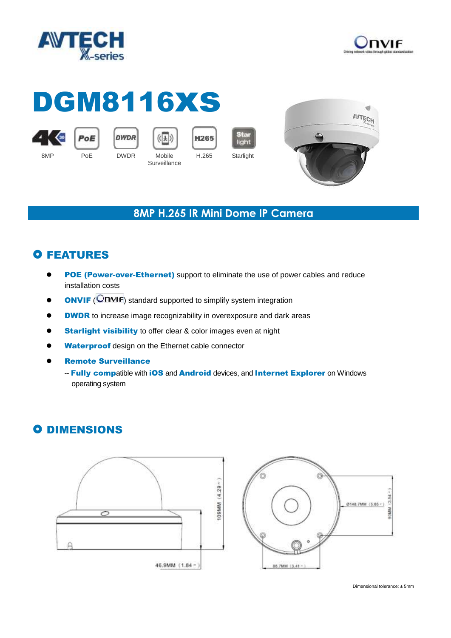



# DGM8116xs



PoE





**Surveillance** 

Star light H.265 Starlight



#### **8MP H.265 IR Mini Dome IP Camera**

## **O FEATURES**

- POE (Power-over-Ethernet) support to eliminate the use of power cables and reduce installation costs
- **ONVIF** (**ONVIF**) standard supported to simplify system integration
- **OBBOO DWOR** to increase image recognizability in overexposure and dark areas
- **Starlight visibility** to offer clear & color images even at night
- Waterproof design on the Ethernet cable connector
- Remote Surveillance
	- -- Fully compatible with iOS and Android devices, and Internet Explorer on Windows operating system

## **O DIMENSIONS**



90MM (3.54 @148.7MM (5.85 -)

Dimensional tolerance: ± 5mm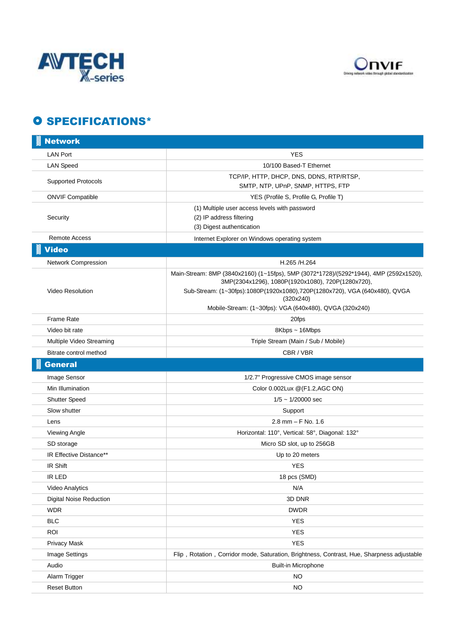



#### O SPECIFICATIONS\*

| <b>Network</b>                 |                                                                                                                                                                                                                                                                                                  |
|--------------------------------|--------------------------------------------------------------------------------------------------------------------------------------------------------------------------------------------------------------------------------------------------------------------------------------------------|
| <b>LAN Port</b>                | YES                                                                                                                                                                                                                                                                                              |
| <b>LAN Speed</b>               | 10/100 Based-T Ethernet                                                                                                                                                                                                                                                                          |
| <b>Supported Protocols</b>     | TCP/IP, HTTP, DHCP, DNS, DDNS, RTP/RTSP,<br>SMTP, NTP, UPnP, SNMP, HTTPS, FTP                                                                                                                                                                                                                    |
| <b>ONVIF Compatible</b>        | YES (Profile S, Profile G, Profile T)                                                                                                                                                                                                                                                            |
| Security                       | (1) Multiple user access levels with password<br>(2) IP address filtering<br>(3) Digest authentication                                                                                                                                                                                           |
| <b>Remote Access</b>           | Internet Explorer on Windows operating system                                                                                                                                                                                                                                                    |
| <b>Video</b>                   |                                                                                                                                                                                                                                                                                                  |
| Network Compression            | H.265 /H.264                                                                                                                                                                                                                                                                                     |
| <b>Video Resolution</b>        | Main-Stream: 8MP (3840x2160) (1~15fps), 5MP (3072*1728)/(5292*1944), 4MP (2592x1520),<br>3MP(2304x1296), 1080P(1920x1080), 720P(1280x720),<br>Sub-Stream: (1~30fps):1080P(1920x1080),720P(1280x720), VGA (640x480), QVGA<br>(320x240)<br>Mobile-Stream: (1~30fps): VGA (640x480), QVGA (320x240) |
| <b>Frame Rate</b>              | 20fps                                                                                                                                                                                                                                                                                            |
| Video bit rate                 | 8Kbps ~ 16Mbps                                                                                                                                                                                                                                                                                   |
| Multiple Video Streaming       | Triple Stream (Main / Sub / Mobile)                                                                                                                                                                                                                                                              |
| Bitrate control method         | CBR / VBR                                                                                                                                                                                                                                                                                        |
| <b>General</b>                 |                                                                                                                                                                                                                                                                                                  |
| Image Sensor                   | 1/2.7" Progressive CMOS image sensor                                                                                                                                                                                                                                                             |
| Min Illumination               | Color 0.002Lux @(F1.2,AGC ON)                                                                                                                                                                                                                                                                    |
| <b>Shutter Speed</b>           | $1/5 \sim 1/20000$ sec                                                                                                                                                                                                                                                                           |
| Slow shutter                   | Support                                                                                                                                                                                                                                                                                          |
| Lens                           | $2.8$ mm $-$ F No. 1.6                                                                                                                                                                                                                                                                           |
| Viewing Angle                  | Horizontal: 110°, Vertical: 58°, Diagonal: 132°                                                                                                                                                                                                                                                  |
| SD storage                     | Micro SD slot, up to 256GB                                                                                                                                                                                                                                                                       |
| IR Effective Distance**        | Up to 20 meters                                                                                                                                                                                                                                                                                  |
| IR Shift                       | <b>YES</b>                                                                                                                                                                                                                                                                                       |
| IR LED                         | 18 pcs (SMD)                                                                                                                                                                                                                                                                                     |
| Video Analytics                | N/A                                                                                                                                                                                                                                                                                              |
| <b>Digital Noise Reduction</b> | 3D DNR                                                                                                                                                                                                                                                                                           |
| <b>WDR</b>                     | <b>DWDR</b>                                                                                                                                                                                                                                                                                      |
| <b>BLC</b>                     | <b>YES</b>                                                                                                                                                                                                                                                                                       |
| ROI                            | <b>YES</b>                                                                                                                                                                                                                                                                                       |
| <b>Privacy Mask</b>            | <b>YES</b>                                                                                                                                                                                                                                                                                       |
| Image Settings                 | Flip, Rotation, Corridor mode, Saturation, Brightness, Contrast, Hue, Sharpness adjustable                                                                                                                                                                                                       |
| Audio                          | <b>Built-in Microphone</b>                                                                                                                                                                                                                                                                       |
| Alarm Trigger                  | <b>NO</b>                                                                                                                                                                                                                                                                                        |
| <b>Reset Button</b>            | NO                                                                                                                                                                                                                                                                                               |